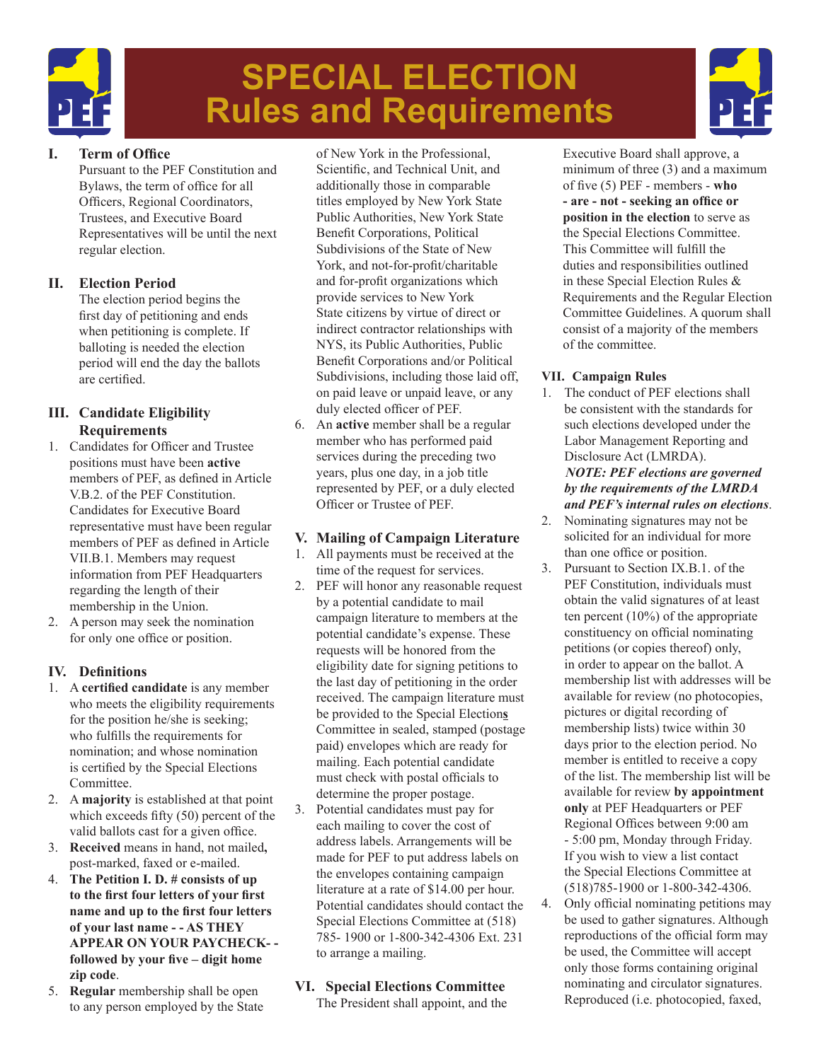

# **SPECIAL ELECTION Rules and Requirements**



## **I. Term of Office**

Pursuant to the PEF Constitution and Bylaws, the term of office for all Officers, Regional Coordinators, Trustees, and Executive Board Representatives will be until the next regular election.

## **II. Election Period**

 The election period begins the first day of petitioning and ends when petitioning is complete. If balloting is needed the election period will end the day the ballots are certified.

## **III. Candidate Eligibility Requirements**

- 1. Candidates for Officer and Trustee positions must have been **active** members of PEF, as defined in Article V.B.2. of the PEF Constitution. Candidates for Executive Board representative must have been regular members of PEF as defined in Article VII.B.1. Members may request information from PEF Headquarters regarding the length of their membership in the Union.
- 2. A person may seek the nomination for only one office or position.

# **IV. Definitions**

- 1. A **certified candidate** is any member who meets the eligibility requirements for the position he/she is seeking; who fulfills the requirements for nomination; and whose nomination is certified by the Special Elections Committee.
- 2. A **majority** is established at that point which exceeds fifty (50) percent of the valid ballots cast for a given office.
- 3. **Received** means in hand, not mailed**,** post-marked, faxed or e-mailed.
- 4. **The Petition I. D. # consists of up to the first four letters of your first name and up to the first four letters of your last name - - AS THEY APPEAR ON YOUR PAYCHECK- followed by your five – digit home zip code**.
- 5. **Regular** membership shall be open to any person employed by the State

of New York in the Professional, Scientific, and Technical Unit, and additionally those in comparable titles employed by New York State Public Authorities, New York State Benefit Corporations, Political Subdivisions of the State of New York, and not-for-profit/charitable and for-profit organizations which provide services to New York State citizens by virtue of direct or indirect contractor relationships with NYS, its Public Authorities, Public Benefit Corporations and/or Political Subdivisions, including those laid off, on paid leave or unpaid leave, or any duly elected officer of PEF.

6. An **active** member shall be a regular member who has performed paid services during the preceding two years, plus one day, in a job title represented by PEF, or a duly elected Officer or Trustee of PEF.

# **V. Mailing of Campaign Literature**

- 1. All payments must be received at the time of the request for services.
- 2. PEF will honor any reasonable request by a potential candidate to mail campaign literature to members at the potential candidate's expense. These requests will be honored from the eligibility date for signing petitions to the last day of petitioning in the order received. The campaign literature must be provided to the Special Election**s** Committee in sealed, stamped (postage paid) envelopes which are ready for mailing. Each potential candidate must check with postal officials to determine the proper postage.
- 3. Potential candidates must pay for each mailing to cover the cost of address labels. Arrangements will be made for PEF to put address labels on the envelopes containing campaign literature at a rate of \$14.00 per hour. Potential candidates should contact the Special Elections Committee at (518) 785- 1900 or 1-800-342-4306 Ext. 231 to arrange a mailing.

# **VI. Special Elections Committee**

 The President shall appoint, and the

Executive Board shall approve, a minimum of three (3) and a maximum of five (5) PEF - members - **who - are - not - seeking an office or position in the election** to serve as the Special Elections Committee. This Committee will fulfill the duties and responsibilities outlined in these Special Election Rules & Requirements and the Regular Election Committee Guidelines. A quorum shall consist of a majority of the members of the committee.

## **VII. Campaign Rules**

- 1. The conduct of PEF elections shall be consistent with the standards for such elections developed under the Labor Management Reporting and Disclosure Act (LMRDA). *NOTE: PEF elections are governed by the requirements of the LMRDA and PEF's internal rules on elections*.
- 2. Nominating signatures may not be solicited for an individual for more than one office or position.
- 3. Pursuant to Section IX.B.1. of the PEF Constitution, individuals must obtain the valid signatures of at least ten percent (10%) of the appropriate constituency on official nominating petitions (or copies thereof) only, in order to appear on the ballot. A membership list with addresses will be available for review (no photocopies, pictures or digital recording of membership lists) twice within 30 days prior to the election period. No member is entitled to receive a copy of the list. The membership list will be available for review **by appointment only** at PEF Headquarters or PEF Regional Offices between 9:00 am - 5:00 pm, Monday through Friday. If you wish to view a list contact the Special Elections Committee at (518)785-1900 or 1-800-342-4306.
- 4. Only official nominating petitions may be used to gather signatures. Although reproductions of the official form may be used, the Committee will accept only those forms containing original nominating and circulator signatures. Reproduced (i.e. photocopied, faxed,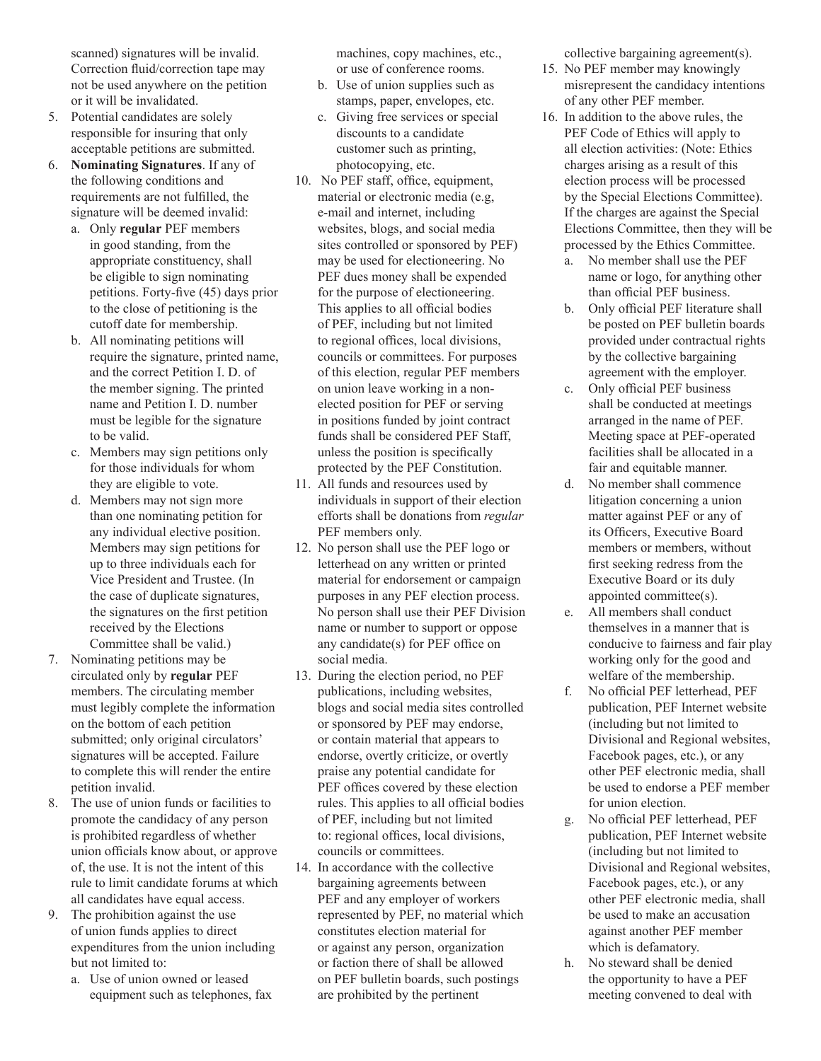scanned) signatures will be invalid. Correction fluid/correction tape may not be used anywhere on the petition or it will be invalidated.

- 5. Potential candidates are solely responsible for insuring that only acceptable petitions are submitted.
- 6. **Nominating Signatures**. If any of the following conditions and requirements are not fulfilled, the signature will be deemed invalid:
	- a. Only **regular** PEF members in good standing, from the appropriate constituency, shall be eligible to sign nominating petitions. Forty-five (45) days prior to the close of petitioning is the cutoff date for membership.
	- b. All nominating petitions will require the signature, printed name, and the correct Petition I. D. of the member signing. The printed name and Petition I. D. number must be legible for the signature to be valid.
	- c. Members may sign petitions only for those individuals for whom they are eligible to vote.
	- d. Members may not sign more than one nominating petition for any individual elective position. Members may sign petitions for up to three individuals each for Vice President and Trustee. (In the case of duplicate signatures, the signatures on the first petition received by the Elections Committee shall be valid.)
- 7. Nominating petitions may be circulated only by **regular** PEF members. The circulating member must legibly complete the information on the bottom of each petition submitted; only original circulators' signatures will be accepted. Failure to complete this will render the entire petition invalid.
- 8. The use of union funds or facilities to promote the candidacy of any person is prohibited regardless of whether union officials know about, or approve of, the use. It is not the intent of this rule to limit candidate forums at which all candidates have equal access.
- 9. The prohibition against the use of union funds applies to direct expenditures from the union including but not limited to:
	- a. Use of union owned or leased equipment such as telephones, fax

machines, copy machines, etc., or use of conference rooms.

- b. Use of union supplies such as stamps, paper, envelopes, etc.
- c. Giving free services or special discounts to a candidate customer such as printing, photocopying, etc.
- 10. No PEF staff, office, equipment, material or electronic media (e.g, e-mail and internet, including websites, blogs, and social media sites controlled or sponsored by PEF) may be used for electioneering. No PEF dues money shall be expended for the purpose of electioneering. This applies to all official bodies of PEF, including but not limited to regional offices, local divisions, councils or committees. For purposes of this election, regular PEF members on union leave working in a nonelected position for PEF or serving in positions funded by joint contract funds shall be considered PEF Staff, unless the position is specifically protected by the PEF Constitution.
- 11. All funds and resources used by individuals in support of their election efforts shall be donations from *regular* PEF members only.
- 12. No person shall use the PEF logo or letterhead on any written or printed material for endorsement or campaign purposes in any PEF election process. No person shall use their PEF Division name or number to support or oppose any candidate(s) for PEF office on social media.
- 13. During the election period, no PEF publications, including websites, blogs and social media sites controlled or sponsored by PEF may endorse, or contain material that appears to endorse, overtly criticize, or overtly praise any potential candidate for PEF offices covered by these election rules. This applies to all official bodies of PEF, including but not limited to: regional offices, local divisions, councils or committees.
- 14. In accordance with the collective bargaining agreements between PEF and any employer of workers represented by PEF, no material which constitutes election material for or against any person, organization or faction there of shall be allowed on PEF bulletin boards, such postings are prohibited by the pertinent

collective bargaining agreement(s).

- 15. No PEF member may knowingly misrepresent the candidacy intentions of any other PEF member.
- 16. In addition to the above rules, the PEF Code of Ethics will apply to all election activities: (Note: Ethics charges arising as a result of this election process will be processed by the Special Elections Committee). If the charges are against the Special Elections Committee, then they will be processed by the Ethics Committee.
	- a. No member shall use the PEF name or logo, for anything other than official PEF business.
	- b. Only official PEF literature shall be posted on PEF bulletin boards provided under contractual rights by the collective bargaining agreement with the employer.
	- c. Only official PEF business shall be conducted at meetings arranged in the name of PEF. Meeting space at PEF-operated facilities shall be allocated in a fair and equitable manner.
	- d. No member shall commence litigation concerning a union matter against PEF or any of its Officers, Executive Board members or members, without first seeking redress from the Executive Board or its duly appointed committee(s).
	- e. All members shall conduct themselves in a manner that is conducive to fairness and fair play working only for the good and welfare of the membership.
	- f. No official PEF letterhead, PEF publication, PEF Internet website (including but not limited to Divisional and Regional websites, Facebook pages, etc.), or any other PEF electronic media, shall be used to endorse a PEF member for union election.
	- g. No official PEF letterhead, PEF publication, PEF Internet website (including but not limited to Divisional and Regional websites, Facebook pages, etc.), or any other PEF electronic media, shall be used to make an accusation against another PEF member which is defamatory.
	- h. No steward shall be denied the opportunity to have a PEF meeting convened to deal with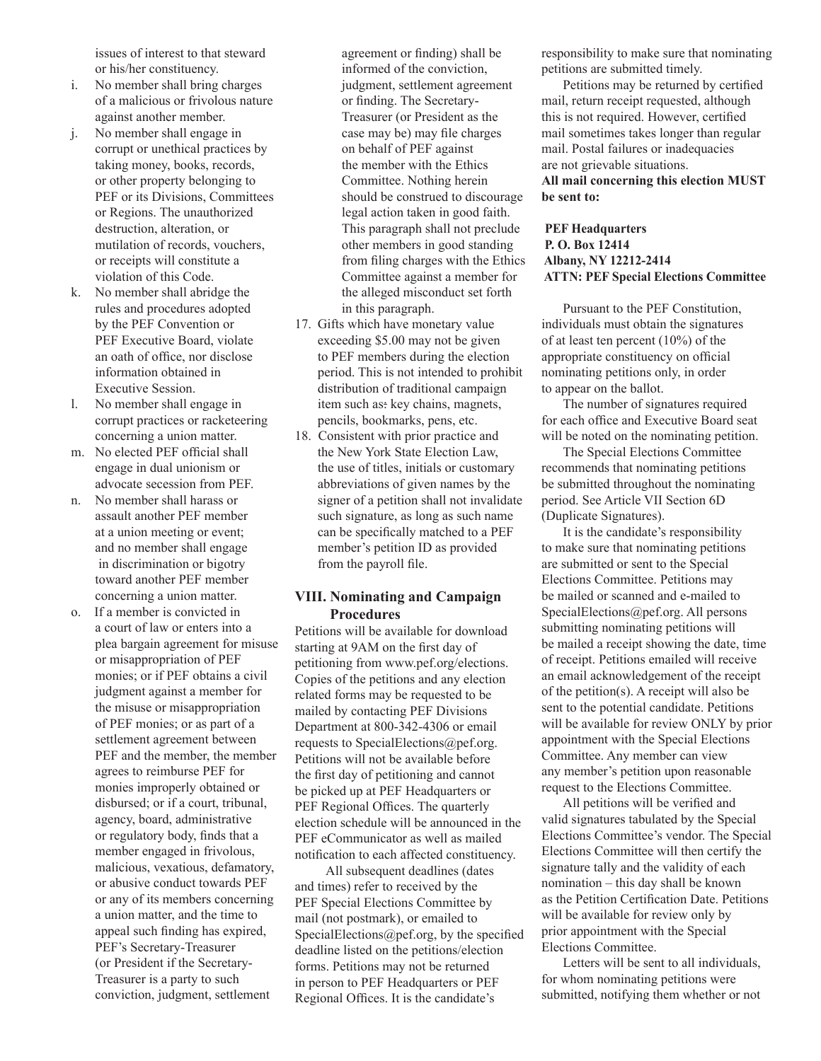issues of interest to that steward or his/her constituency.

- i. No member shall bring charges of a malicious or frivolous nature against another member.
- j. No member shall engage in corrupt or unethical practices by taking money, books, records, or other property belonging to PEF or its Divisions, Committees or Regions. The unauthorized destruction, alteration, or mutilation of records, vouchers, or receipts will constitute a violation of this Code.
- k. No member shall abridge the rules and procedures adopted by the PEF Convention or PEF Executive Board, violate an oath of office, nor disclose information obtained in Executive Session.
- l. No member shall engage in corrupt practices or racketeering concerning a union matter.
- m. No elected PEF official shall engage in dual unionism or advocate secession from PEF.
- n. No member shall harass or assault another PEF member at a union meeting or event; and no member shall engage in discrimination or bigotry toward another PEF member concerning a union matter.
- o. If a member is convicted in a court of law or enters into a plea bargain agreement for misuse or misappropriation of PEF monies; or if PEF obtains a civil judgment against a member for the misuse or misappropriation of PEF monies; or as part of a settlement agreement between PEF and the member, the member agrees to reimburse PEF for monies improperly obtained or disbursed; or if a court, tribunal, agency, board, administrative or regulatory body, finds that a member engaged in frivolous, malicious, vexatious, defamatory, or abusive conduct towards PEF or any of its members concerning a union matter, and the time to appeal such finding has expired, PEF's Secretary-Treasurer (or President if the Secretary-Treasurer is a party to such conviction, judgment, settlement

agreement or finding) shall be informed of the conviction, judgment, settlement agreement or finding. The Secretary-Treasurer (or President as the case may be) may file charges on behalf of PEF against the member with the Ethics Committee. Nothing herein should be construed to discourage legal action taken in good faith. This paragraph shall not preclude other members in good standing from filing charges with the Ethics Committee against a member for the alleged misconduct set forth in this paragraph.

- 17. Gifts which have monetary value exceeding \$5.00 may not be given to PEF members during the election period. This is not intended to prohibit distribution of traditional campaign item such as: key chains, magnets, pencils, bookmarks, pens, etc.
- 18. Consistent with prior practice and the New York State Election Law, the use of titles, initials or customary abbreviations of given names by the signer of a petition shall not invalidate such signature, as long as such name can be specifically matched to a PEF member's petition ID as provided from the payroll file.

#### **VIII. Nominating and Campaign Procedures**

Petitions will be available for download starting at 9AM on the first day of petitioning from www.pef.org/elections. Copies of the petitions and any election related forms may be requested to be mailed by contacting PEF Divisions Department at 800-342-4306 or email requests to SpecialElections@pef.org. Petitions will not be available before the first day of petitioning and cannot be picked up at PEF Headquarters or PEF Regional Offices. The quarterly election schedule will be announced in the PEF eCommunicator as well as mailed notification to each affected constituency.

 All subsequent deadlines (dates and times) refer to received by the PEF Special Elections Committee by mail (not postmark), or emailed to SpecialElections@pef.org, by the specified deadline listed on the petitions/election forms. Petitions may not be returned in person to PEF Headquarters or PEF Regional Offices. It is the candidate's

responsibility to make sure that nominating petitions are submitted timely.

 Petitions may be returned by certified mail, return receipt requested, although this is not required. However, certified mail sometimes takes longer than regular mail. Postal failures or inadequacies are not grievable situations. **All mail concerning this election MUST be sent to:**

#### **PEF Headquarters P. O. Box 12414 Albany, NY 12212-2414 ATTN: PEF Special Elections Committee**

Pursuant to the PEF Constitution, individuals must obtain the signatures of at least ten percent (10%) of the appropriate constituency on official nominating petitions only, in order to appear on the ballot.

 The number of signatures required for each office and Executive Board seat will be noted on the nominating petition.

 The Special Elections Committee recommends that nominating petitions be submitted throughout the nominating period. See Article VII Section 6D (Duplicate Signatures).

 It is the candidate's responsibility to make sure that nominating petitions are submitted or sent to the Special Elections Committee. Petitions may be mailed or scanned and e-mailed to SpecialElections@pef.org. All persons submitting nominating petitions will be mailed a receipt showing the date, time of receipt. Petitions emailed will receive an email acknowledgement of the receipt of the petition(s). A receipt will also be sent to the potential candidate. Petitions will be available for review ONLY by prior appointment with the Special Elections Committee. Any member can view any member's petition upon reasonable request to the Elections Committee.

 All petitions will be verified and valid signatures tabulated by the Special Elections Committee's vendor. The Special Elections Committee will then certify the signature tally and the validity of each nomination – this day shall be known as the Petition Certification Date. Petitions will be available for review only by prior appointment with the Special Elections Committee.

 Letters will be sent to all individuals, for whom nominating petitions were submitted, notifying them whether or not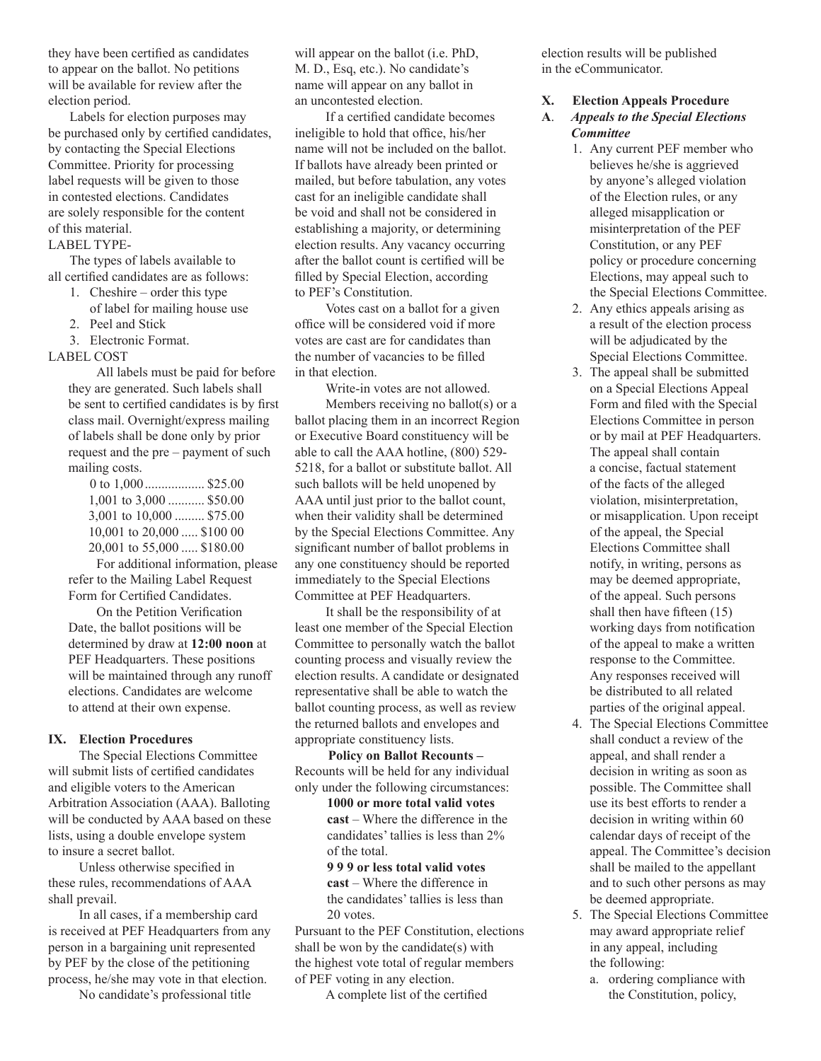they have been certified as candidates to appear on the ballot. No petitions will be available for review after the election period.

 Labels for election purposes may be purchased only by certified candidates, by contacting the Special Elections Committee. Priority for processing label requests will be given to those in contested elections. Candidates are solely responsible for the content of this material.

LABEL TYPE-

 The types of labels available to all certified candidates are as follows:

- 1. Cheshire order this type
- of label for mailing house use
- 2. Peel and Stick
- 3. Electronic Format.

#### LABEL COST

 All labels must be paid for before they are generated. Such labels shall be sent to certified candidates is by first class mail. Overnight/express mailing of labels shall be done only by prior request and the pre – payment of such mailing costs.

| 0 to $1,000$ \$25.00       |
|----------------------------|
| 1,001 to 3,000  \$50.00    |
| 3,001 to 10,000  \$75.00   |
| 10,001 to 20,000  \$100 00 |
| 20,001 to 55,000  \$180.00 |
|                            |

 For additional information, please refer to the Mailing Label Request Form for Certified Candidates.

 On the Petition Verification Date, the ballot positions will be determined by draw at **12:00 noon** at PEF Headquarters. These positions will be maintained through any runoff elections. Candidates are welcome to attend at their own expense.

#### **IX. Election Procedures**

 The Special Elections Committee will submit lists of certified candidates and eligible voters to the American Arbitration Association (AAA). Balloting will be conducted by AAA based on these lists, using a double envelope system to insure a secret ballot.

 Unless otherwise specified in these rules, recommendations of AAA shall prevail.

 In all cases, if a membership card is received at PEF Headquarters from any person in a bargaining unit represented by PEF by the close of the petitioning process, he/she may vote in that election.

 No candidate's professional title

will appear on the ballot (i.e. PhD, M. D., Esq, etc.). No candidate's name will appear on any ballot in an uncontested election.

 If a certified candidate becomes ineligible to hold that office, his/her name will not be included on the ballot. If ballots have already been printed or mailed, but before tabulation, any votes cast for an ineligible candidate shall be void and shall not be considered in establishing a majority, or determining election results. Any vacancy occurring after the ballot count is certified will be filled by Special Election, according to PEF's Constitution.

 Votes cast on a ballot for a given office will be considered void if more votes are cast are for candidates than the number of vacancies to be filled in that election.

 Write-in votes are not allowed. Members receiving no ballot(s) or a ballot placing them in an incorrect Region or Executive Board constituency will be able to call the AAA hotline, (800) 529- 5218, for a ballot or substitute ballot. All such ballots will be held unopened by AAA until just prior to the ballot count, when their validity shall be determined by the Special Elections Committee. Any significant number of ballot problems in any one constituency should be reported immediately to the Special Elections Committee at PEF Headquarters.

 It shall be the responsibility of at least one member of the Special Election Committee to personally watch the ballot counting process and visually review the election results. A candidate or designated representative shall be able to watch the ballot counting process, as well as review the returned ballots and envelopes and appropriate constituency lists.

 **Policy on Ballot Recounts –** Recounts will be held for any individual only under the following circumstances:

> **1000 or more total valid votes cast** – Where the difference in the candidates' tallies is less than 2% of the total.

**9 9 9 or less total valid votes**

**cast** – Where the difference in the candidates' tallies is less than 20 votes.

Pursuant to the PEF Constitution, elections shall be won by the candidate(s) with the highest vote total of regular members of PEF voting in any election.

 A complete list of the certified

election results will be published in the eCommunicator.

#### **X. Election Appeals Procedure**

#### **A**. *Appeals to the Special Elections Committee*

- 1. Any current PEF member who believes he/she is aggrieved by anyone's alleged violation of the Election rules, or any alleged misapplication or misinterpretation of the PEF Constitution, or any PEF policy or procedure concerning Elections, may appeal such to the Special Elections Committee.
- 2. Any ethics appeals arising as a result of the election process will be adjudicated by the Special Elections Committee.
- 3. The appeal shall be submitted on a Special Elections Appeal Form and filed with the Special Elections Committee in person or by mail at PEF Headquarters. The appeal shall contain a concise, factual statement of the facts of the alleged violation, misinterpretation, or misapplication. Upon receipt of the appeal, the Special Elections Committee shall notify, in writing, persons as may be deemed appropriate, of the appeal. Such persons shall then have fifteen (15) working days from notification of the appeal to make a written response to the Committee. Any responses received will be distributed to all related parties of the original appeal.
- 4. The Special Elections Committee shall conduct a review of the appeal, and shall render a decision in writing as soon as possible. The Committee shall use its best efforts to render a decision in writing within 60 calendar days of receipt of the appeal. The Committee's decision shall be mailed to the appellant and to such other persons as may be deemed appropriate.
- 5. The Special Elections Committee may award appropriate relief in any appeal, including the following:
	- a. ordering compliance with the Constitution, policy,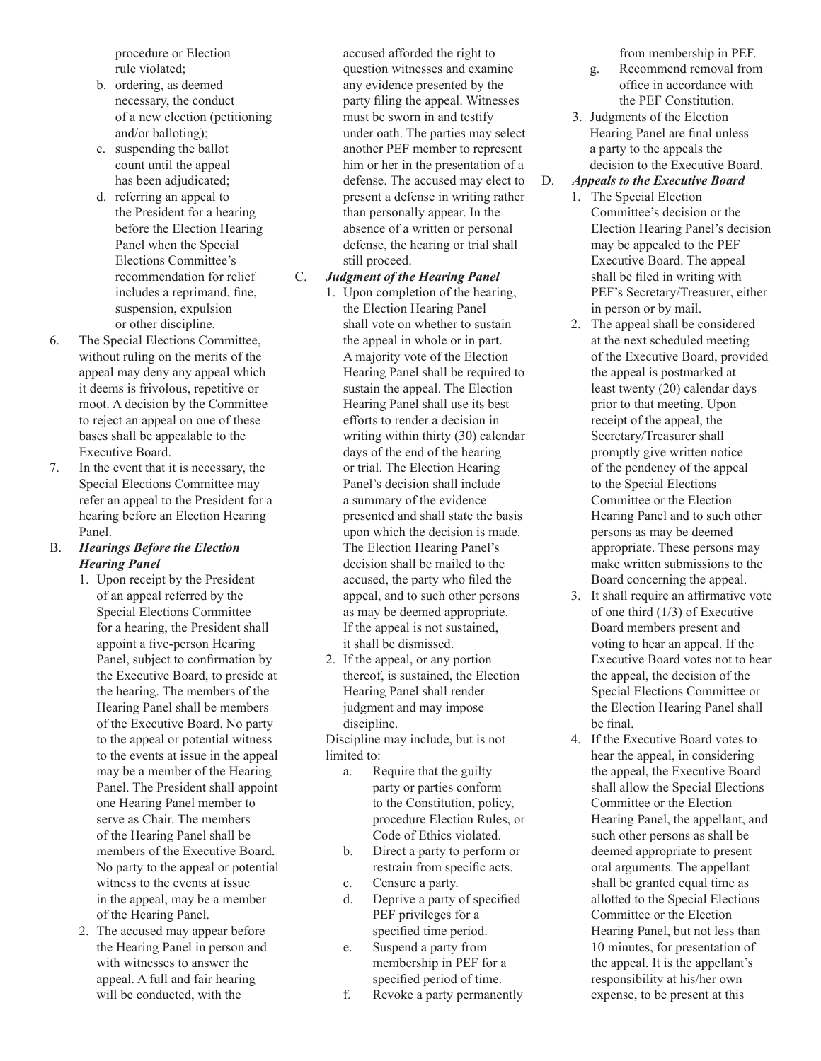procedure or Election rule violated;

- b. ordering, as deemed necessary, the conduct of a new election (petitioning and/or balloting);
- c. suspending the ballot count until the appeal has been adjudicated;
- d. referring an appeal to the President for a hearing before the Election Hearing Panel when the Special Elections Committee's recommendation for relief includes a reprimand, fine, suspension, expulsion or other discipline.
- 6. The Special Elections Committee, without ruling on the merits of the appeal may deny any appeal which it deems is frivolous, repetitive or moot. A decision by the Committee to reject an appeal on one of these bases shall be appealable to the Executive Board.
- 7. In the event that it is necessary, the Special Elections Committee may refer an appeal to the President for a hearing before an Election Hearing Panel.

#### B. *Hearings Before the Election Hearing Panel*

- 1. Upon receipt by the President of an appeal referred by the Special Elections Committee for a hearing, the President shall appoint a five-person Hearing Panel, subject to confirmation by the Executive Board, to preside at the hearing. The members of the Hearing Panel shall be members of the Executive Board. No party to the appeal or potential witness to the events at issue in the appeal may be a member of the Hearing Panel. The President shall appoint one Hearing Panel member to serve as Chair. The members of the Hearing Panel shall be members of the Executive Board. No party to the appeal or potential witness to the events at issue in the appeal, may be a member of the Hearing Panel.
- 2. The accused may appear before the Hearing Panel in person and with witnesses to answer the appeal. A full and fair hearing will be conducted, with the

accused afforded the right to question witnesses and examine any evidence presented by the party filing the appeal. Witnesses must be sworn in and testify under oath. The parties may select another PEF member to represent him or her in the presentation of a defense. The accused may elect to present a defense in writing rather than personally appear. In the absence of a written or personal defense, the hearing or trial shall still proceed.

#### C. *Judgment of the Hearing Panel*

- 1. Upon completion of the hearing, the Election Hearing Panel shall vote on whether to sustain the appeal in whole or in part. A majority vote of the Election Hearing Panel shall be required to sustain the appeal. The Election Hearing Panel shall use its best efforts to render a decision in writing within thirty (30) calendar days of the end of the hearing or trial. The Election Hearing Panel's decision shall include a summary of the evidence presented and shall state the basis upon which the decision is made. The Election Hearing Panel's decision shall be mailed to the accused, the party who filed the appeal, and to such other persons as may be deemed appropriate. If the appeal is not sustained, it shall be dismissed.
- 2. If the appeal, or any portion thereof, is sustained, the Election Hearing Panel shall render judgment and may impose discipline.

Discipline may include, but is not limited to:

- a. Require that the guilty party or parties conform to the Constitution, policy, procedure Election Rules, or Code of Ethics violated.
- b. Direct a party to perform or restrain from specific acts.
- c. Censure a party.
- d. Deprive a party of specified PEF privileges for a specified time period.
- e. Suspend a party from membership in PEF for a specified period of time.
- f. Revoke a party permanently

from membership in PEF.

- g. Recommend removal from office in accordance with the PEF Constitution.
- 3. Judgments of the Election Hearing Panel are final unless a party to the appeals the decision to the Executive Board.

## D. *Appeals to the Executive Board*

- 1. The Special Election Committee's decision or the Election Hearing Panel's decision may be appealed to the PEF Executive Board. The appeal shall be filed in writing with PEF's Secretary/Treasurer, either in person or by mail.
- 2. The appeal shall be considered at the next scheduled meeting of the Executive Board, provided the appeal is postmarked at least twenty (20) calendar days prior to that meeting. Upon receipt of the appeal, the Secretary/Treasurer shall promptly give written notice of the pendency of the appeal to the Special Elections Committee or the Election Hearing Panel and to such other persons as may be deemed appropriate. These persons may make written submissions to the Board concerning the appeal.
- 3. It shall require an affirmative vote of one third (1/3) of Executive Board members present and voting to hear an appeal. If the Executive Board votes not to hear the appeal, the decision of the Special Elections Committee or the Election Hearing Panel shall be final.
- 4. If the Executive Board votes to hear the appeal, in considering the appeal, the Executive Board shall allow the Special Elections Committee or the Election Hearing Panel, the appellant, and such other persons as shall be deemed appropriate to present oral arguments. The appellant shall be granted equal time as allotted to the Special Elections Committee or the Election Hearing Panel, but not less than 10 minutes, for presentation of the appeal. It is the appellant's responsibility at his/her own expense, to be present at this